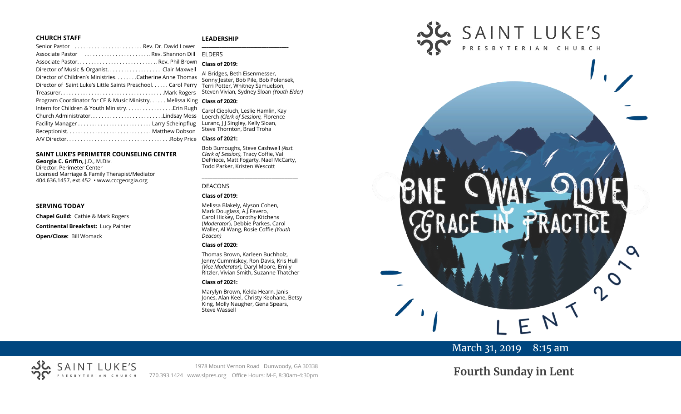#### **CHURCH STAFF**

#### **LEADERSHIP**

| Senior Pastor  Rev. Dr. David Lower                          | $\overline{\phantom{a}}$ |
|--------------------------------------------------------------|--------------------------|
| Associate Pastor  Rev. Shannon Dill                          | EI                       |
|                                                              | $\overline{C}$           |
| Director of Music & Organist. Clair Maxwell                  | $\overline{A}$           |
| Director of Children's Ministries. Catherine Anne Thomas     | $\overline{S}$           |
| Director of Saint Luke's Little Saints Preschool Carol Perry | $T_{\ell}$               |
|                                                              | St                       |
| Program Coordinator for CE & Music Ministry Melissa King     | $\mathsf{C}$             |
| Intern for Children & Youth Ministry. Erin Rugh              | $\overline{C}$           |
| Church AdministratorLindsay Moss                             | $\overline{1}$           |
|                                                              | Lι                       |
|                                                              | St                       |
|                                                              | $\mathsf{C}$             |
|                                                              |                          |

#### **SAINT LUKE'S PERIMETER COUNSELING CENTER**

**Georgia C. Griffin,** J.D., M.Div. Director, Perimeter Center Licensed Marriage & Family Therapist/Mediator 404.636.1457, ext.452 • www.cccgeorgia.org

#### **SERVING TODAY**

**Chapel Guild:** Cathie & Mark Rogers **Continental Breakfast:** Lucy Painter

**Open/Close:** Bill Womack

#### **\_\_\_\_\_\_\_\_\_\_\_\_\_\_\_\_\_\_\_\_\_\_\_\_\_\_\_\_\_\_\_\_\_\_\_\_\_\_\_** ELDERS

#### **Class of 2019:**

**Bridges, Beth Eisenmesser,** onny Jester, Bob Pile, Bob Polensek, Terri Potter, Whitney Samuelson, Steven Vivian*,* Sydney Sloan *(Youth Elder)*

#### **Class of 2020:**

Carol Ciepluch, Leslie Hamlin, Kay Loerch *(Clerk of Session),* Florence Luranc, J J Singley, Kelly Sloan, teve Thornton, Brad Troha

#### **Class of 2021:**

Bob Burroughs, Steve Cashwell *(Asst. Clerk of Session),* Tracy Coffie, Val DeFriece, Matt Fogarty, Nael McCarty, Todd Parker, Kristen Wescott

\_\_\_\_\_\_\_\_\_\_\_\_\_\_\_\_\_\_\_\_\_\_\_\_\_\_\_\_\_\_\_\_\_\_\_\_

#### DEACONS

#### **Class of 2019:**

Melissa Blakely, Alyson Cohen, Mark Douglass, A.J.Favero, Carol Hickey, Dorothy Kitchens (*Moderator*), Debbie Parkes, Carol Waller, Al Wang, Rosie Coffie *(Youth Deacon)* 

#### **Class of 2020:**

Thomas Brown, Karleen Buchholz, Jenny Cummiskey, Ron Davis, Kris Hull *(Vice Moderator),* Daryl Moore, Emily Ritzler, Vivian Smith, Suzanne Thatcher

#### **Class of 2021:**

Marylyn Brown, Kelda Hearn, Janis Jones, Alan Keel, Christy Keohane, Betsy King, Molly Naugher, Gena Spears, Steve Wassell



# March 31, 2019 8:15 am

# SAINT LUKE'S ERIAN CHURCH

1978 Mount Vernon Road Dunwoody, GA 30338 770.393.1424 www.slpres.org Office Hours: M-F, 8:30am-4:30pm

**Fourth Sunday in Lent**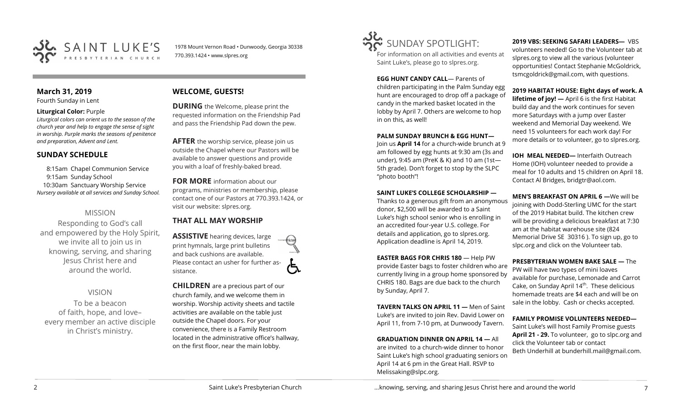

1978 Mount Vernon Road • Dunwoody, Georgia 30338 770.393.1424 • www.slpres.org

# **March 31, 2019**

Fourth Sunday in Lent

#### **Liturgical Color:** Purple

*Liturgical colors can orient us to the season of the church year and help to engage the sense of sight in worship. Purple marks the seasons of penitence and preparation, Advent and Lent.*

## **SUNDAY SCHEDULE**

8:15am Chapel Communion Service 9:15am Sunday School 10:30am Sanctuary Worship Service *Nursery available at all services and Sunday School.* 

# MISSION

Responding to God's call and empowered by the Holy Spirit, we invite all to join us in knowing, serving, and sharing Jesus Christ here and around the world.

VISION To be a beacon of faith, hope, and love– every member an active disciple in Christ's ministry.

# **WELCOME, GUESTS!**

**DURING** the Welcome, please print the requested information on the Friendship Pad and pass the Friendship Pad down the pew.

**AFTER** the worship service, please join us outside the Chapel where our Pastors will be available to answer questions and provide you with a loaf of freshly-baked bread.

**FOR MORE** information about our programs, ministries or membership, please contact one of our Pastors at 770.393.1424, or visit our website: slpres.org.

# **THAT ALL MAY WORSHIP**

**ASSISTIVE** hearing devices, large print hymnals, large print bulletins and back cushions are available. Please contact an usher for further assistance.

**CHILDREN** are a precious part of our church family, and we welcome them in worship. Worship activity sheets and tactile activities are available on the table just outside the Chapel doors. For your convenience, there is a Family Restroom located in the administrative office's hallway, on the first floor, near the main lobby.



For information on all activities and events at Saint Luke's, please go to slpres.org.

**EGG HUNT CANDY CALL**— Parents of children participating in the Palm Sunday egg hunt are encouraged to drop off a package of candy in the marked basket located in the lobby by April 7. Others are welcome to hop in on this, as well!

#### **PALM SUNDAY BRUNCH & EGG HUNT—**

Join us **April 14** for a church-wide brunch at 9 am followed by egg hunts at 9:30 am (3s and under), 9:45 am (PreK & K) and 10 am (1st— 5th grade). Don't forget to stop by the SLPC "photo booth"!

## **SAINT LUKE'S COLLEGE SCHOLARSHIP —**

Thanks to a generous gift from an anonymous donor, \$2,500 will be awarded to a Saint Luke's high school senior who is enrolling in an accredited four-year U.S. college. For details and application, go to slpres.org. Application deadline is April 14, 2019.

**EASTER BAGS FOR CHRIS 180** — Help PW provide Easter bags to foster children who are currently living in a group home sponsored by CHRIS 180. Bags are due back to the church by Sunday, April 7.

**TAVERN TALKS ON APRIL 11 —** Men of Saint Luke's are invited to join Rev. David Lower on April 11, from 7-10 pm, at Dunwoody Tavern.

**GRADUATION DINNER ON APRIL 14 —** All are invited to a church-wide dinner to honor Saint Luke's high school graduating seniors on April 14 at 6 pm in the Great Hall. RSVP to Melissaking@slpc.org.

**2019 VBS: SEEKING SAFARI LEADERS—** VBS

volunteers needed! Go to the Volunteer tab at slpres.org to view all the various (volunteer opportunities! Contact Stephanie McGoldrick, tsmcgoldrick@gmail.com, with questions.

#### **2019 HABITAT HOUSE: Eight days of work. A**

**lifetime of joy! —** April 6 is the first Habitat build day and the work continues for seven more Saturdays with a jump over Easter weekend and Memorial Day weekend. We need 15 volunteers for each work day! For more details or to volunteer, go to slpres.org.

**IOH MEAL NEEDED—** Interfaith Outreach Home (IOH) volunteer needed to provide a meal for 10 adults and 15 children on April 18. Contact Al Bridges, bridgtr@aol.com.

**MEN'S BREAKFAST ON APRIL 6 —**We will be joining with Dodd-Sterling UMC for the start of the 2019 Habitat build. The kitchen crew will be providing a delicious breakfast at 7:30 am at the habitat warehouse site (824 Memorial Drive SE 30316 ). To sign up, go to slpc.org and click on the Volunteer tab.

**PRESBYTERIAN WOMEN BAKE SALE —** The PW will have two types of mini loaves available for purchase, Lemonade and Carrot Cake, on Sunday April 14<sup>th</sup>. These delicious homemade treats are \$4 each and will be on sale in the lobby. Cash or checks accepted.

#### **FAMILY PROMISE VOLUNTEERS NEEDED—**

Saint Luke's will host Family Promise guests **April 21 - 29.** To volunteer, go to slpc.org and click the Volunteer tab or contact Beth Underhill at bunderhill.mail@gmail.com.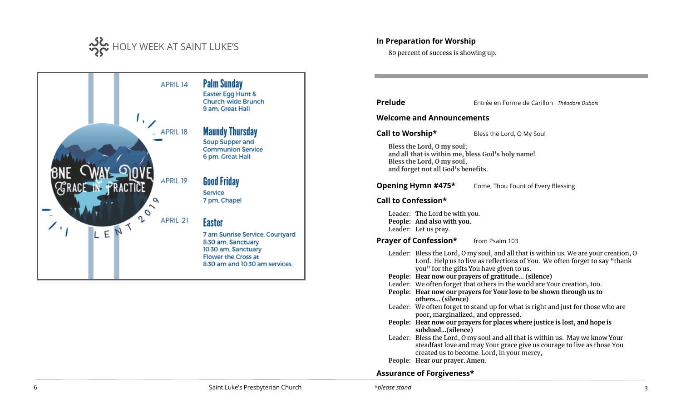



## **In Preparation for Worship**

80 percent of success is showing up.

**Prelude** Entrée en Forme de Carillon *Théodore Dubois*

#### **Welcome and Announcements**

**Call to Worship\*** Bless the Lord, O My Soul

**Bless the Lord, O my soul; and all that is within me, bless God's holy name! Bless the Lord, O my soul, and forget not all God's benefits.**

**Opening Hymn #475\*** Come, Thou Fount of Every Blessing

## **Call to Confession\***

Leader: The Lord be with you. **People: And also with you.**  Leader: Let us pray.

**Prayer of Confession\*** from Psalm 103

- Leader: Bless the Lord, O my soul, and all that is within us. We are your creation, O Lord. Help us to live as reflections of You. We often forget to say "thank you" for the gifts You have given to us.
- **People: Hear now our prayers of gratitude... (silence)**
- Leader: We often forget that others in the world are Your creation, too.
- **People: Hear now our prayers for Your love to be shown through us to others... (silence)**
- Leader: We often forget to stand up for what is right and just for those who are poor, marginalized, and oppressed.
- **People: Hear now our prayers for places where justice is lost, and hope is subdued...(silence)**
- Leader: Bless the Lord, O my soul and all that is within us. May we know Your steadfast love and may Your grace give us courage to live as those You created us to become. Lord, in your mercy,
- **People: Hear our prayer. Amen.**

# **Assurance of Forgiveness\***